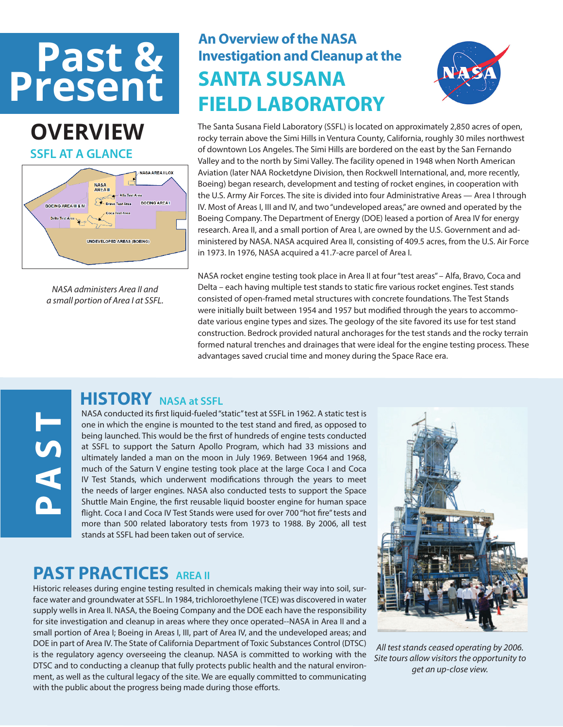# **Present**

### **OVERVIEW SSFL AT A GLANCE**



*NASA administers Area II and a small portion of Area I at SSFL.*

**A**<br> **S**<br> **P**<br> **A** 

### **Past & An Overview of the NASA**<br> **An Overview of the NASA**<br> **ANTA SILCANA Investigation and Cleanup at the SANTA SUSANA FIELD LABORATORY**



The Santa Susana Field Laboratory (SSFL) is located on approximately 2,850 acres of open, rocky terrain above the Simi Hills in Ventura County, California, roughly 30 miles northwest of downtown Los Angeles. The Simi Hills are bordered on the east by the San Fernando Valley and to the north by Simi Valley. The facility opened in 1948 when North American Aviation (later NAA Rocketdyne Division, then Rockwell International, and, more recently, Boeing) began research, development and testing of rocket engines, in cooperation with the U.S. Army Air Forces. The site is divided into four Administrative Areas — Area I through IV. Most of Areas I, III and IV, and two "undeveloped areas," are owned and operated by the Boeing Company. The Department of Energy (DOE) leased a portion of Area IV for energy research. Area II, and a small portion of Area I, are owned by the U.S. Government and administered by NASA. NASA acquired Area II, consisting of 409.5 acres, from the U.S. Air Force in 1973. In 1976, NASA acquired a 41.7-acre parcel of Area I.

NASA rocket engine testing took place in Area II at four "test areas" – Alfa, Bravo, Coca and Delta – each having multiple test stands to static fire various rocket engines. Test stands consisted of open-framed metal structures with concrete foundations. The Test Stands were initially built between 1954 and 1957 but modified through the years to accommodate various engine types and sizes. The geology of the site favored its use for test stand construction. Bedrock provided natural anchorages for the test stands and the rocky terrain formed natural trenches and drainages that were ideal for the engine testing process. These advantages saved crucial time and money during the Space Race era.

### **HISTORY NASA at SSFL**

NASA conducted its first liquid-fueled "static" test at SSFL in 1962. A static test is one in which the engine is mounted to the test stand and fired, as opposed to being launched. This would be the first of hundreds of engine tests conducted at SSFL to support the Saturn Apollo Program, which had 33 missions and ultimately landed a man on the moon in July 1969. Between 1964 and 1968, much of the Saturn V engine testing took place at the large Coca I and Coca IV Test Stands, which underwent modifications through the years to meet the needs of larger engines. NASA also conducted tests to support the Space Shuttle Main Engine, the first reusable liquid booster engine for human space flight. Coca I and Coca IV Test Stands were used for over 700 "hot fire" tests and more than 500 related laboratory tests from 1973 to 1988. By 2006, all test stands at SSFL had been taken out of service.

### **PAST PRACTICES AREA II**

Historic releases during engine testing resulted in chemicals making their way into soil, surface water and groundwater at SSFL. In 1984, trichloroethylene (TCE) was discovered in water supply wells in Area II. NASA, the Boeing Company and the DOE each have the responsibility for site investigation and cleanup in areas where they once operated--NASA in Area II and a small portion of Area I; Boeing in Areas I, III, part of Area IV, and the undeveloped areas; and DOE in part of Area IV. The State of California Department of Toxic Substances Control (DTSC) is the regulatory agency overseeing the cleanup. NASA is committed to working with the DTSC and to conducting a cleanup that fully protects public health and the natural environment, as well as the cultural legacy of the site. We are equally committed to communicating with the public about the progress being made during those efforts.



*All test stands ceased operating by 2006. Site tours allow visitors the opportunity to get an up-close view.*